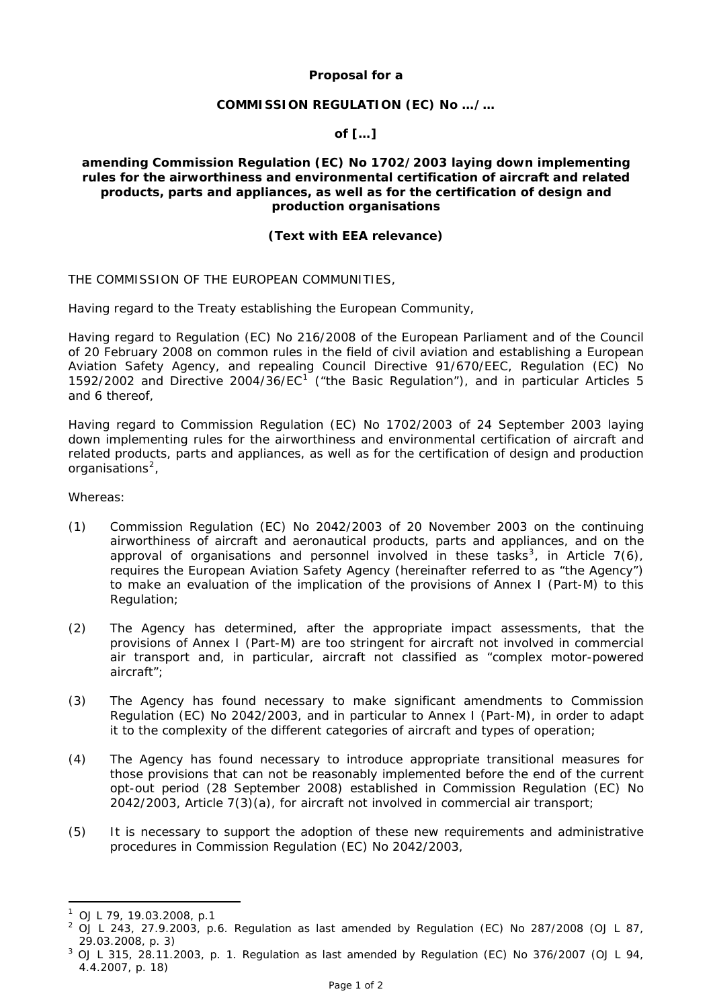# **Proposal for a**

# **COMMISSION REGULATION (EC) No …/…**

# **of […]**

### **amending Commission Regulation (EC) No 1702/2003 laying down implementing rules for the airworthiness and environmental certification of aircraft and related products, parts and appliances, as well as for the certification of design and production organisations**

# **(Text with EEA relevance)**

THE COMMISSION OF THE EUROPEAN COMMUNITIES,

Having regard to the Treaty establishing the European Community,

Having regard to Regulation (EC) No 216/2008 of the European Parliament and of the Council of 20 February 2008 on common rules in the field of civil aviation and establishing a European Aviation Safety Agency, and repealing Council Directive 91/670/EEC, Regulation (EC) No [1](#page-0-0)592/2002 and Directive 2004/36/EC<sup>1</sup> ("the Basic Regulation"), and in particular Articles 5 and 6 thereof,

Having regard to Commission Regulation (EC) No 1702/2003 of 24 September 2003 laying down implementing rules for the airworthiness and environmental certification of aircraft and related products, parts and appliances, as well as for the certification of design and production organisations<sup>[2](#page-0-1)</sup>.

Whereas:

- (1) Commission Regulation (EC) No 2042/2003 of 20 November 2003 on the continuing airworthiness of aircraft and aeronautical products, parts and appliances, and on the approval of organisations and personnel involved in these tasks<sup>[3](#page-0-2)</sup>, in Article 7(6), requires the European Aviation Safety Agency (hereinafter referred to as "the Agency") to make an evaluation of the implication of the provisions of Annex I (Part-M) to this Regulation;
- (2) The Agency has determined, after the appropriate impact assessments, that the provisions of Annex I (Part-M) are too stringent for aircraft not involved in commercial air transport and, in particular, aircraft not classified as "complex motor-powered aircraft";
- (3) The Agency has found necessary to make significant amendments to Commission Regulation (EC) No 2042/2003, and in particular to Annex I (Part-M), in order to adapt it to the complexity of the different categories of aircraft and types of operation;
- (4) The Agency has found necessary to introduce appropriate transitional measures for those provisions that can not be reasonably implemented before the end of the current opt-out period (28 September 2008) established in Commission Regulation (EC) No 2042/2003, Article 7(3)(a), for aircraft not involved in commercial air transport;
- (5) It is necessary to support the adoption of these new requirements and administrative procedures in Commission Regulation (EC) No 2042/2003,

<u>.</u>

<span id="page-0-0"></span> $1$  OJ L 79, 19.03.2008, p.1

<span id="page-0-1"></span><sup>&</sup>lt;sup>2</sup> OJ L 243, 27.9.2003, p.6. Regulation as last amended by Regulation (EC) No 287/2008 (OJ L 87,  $29.03.2008, p. 3)$ 

<span id="page-0-2"></span> $3$  OJ L 315, 28.11.2003, p. 1. Regulation as last amended by Regulation (EC) No 376/2007 (OJ L 94, 4.4.2007, p. 18)